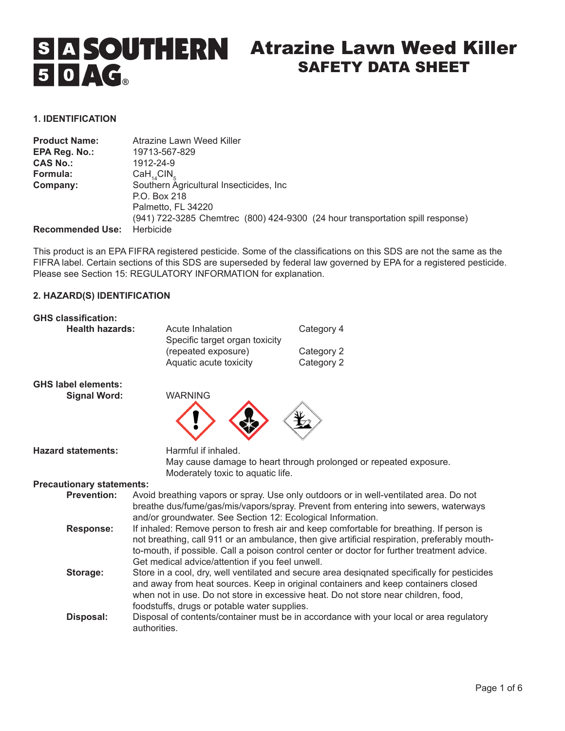# **S A SOUTHERN** Atrazine Lawn Weed Killer SAFETY DATA SHEET 50AG

## **1. IDENTIFICATION**

| <b>Product Name:</b>    | Atrazine Lawn Weed Killer                                                      |
|-------------------------|--------------------------------------------------------------------------------|
| EPA Reg. No.:           | 19713-567-829                                                                  |
| <b>CAS No.:</b>         | 1912-24-9                                                                      |
| Formula:                | $CaH_{14}ClN_{5}$                                                              |
| Company:                | Southern Agricultural Insecticides, Inc.                                       |
|                         | P.O. Box 218                                                                   |
|                         | Palmetto, FL 34220                                                             |
|                         | (941) 722-3285 Chemtrec (800) 424-9300 (24 hour transportation spill response) |
| <b>Recommended Use:</b> | Herbicide                                                                      |

This product is an EPA FIFRA registered pesticide. Some of the classifications on this SDS are not the same as the FIFRA label. Certain sections of this SDS are superseded by federal law governed by EPA for a registered pesticide. Please see Section 15: REGULATORY INFORMATION for explanation.

## **2. HAZARD(S) IDENTIFICATION**

| <b>GHS classification:</b>                        |                                                             |                                                                                                                                                                                                                                                                                        |
|---------------------------------------------------|-------------------------------------------------------------|----------------------------------------------------------------------------------------------------------------------------------------------------------------------------------------------------------------------------------------------------------------------------------------|
| <b>Health hazards:</b>                            | Acute Inhalation<br>Specific target organ toxicity          | Category 4                                                                                                                                                                                                                                                                             |
|                                                   | (repeated exposure)                                         | Category 2                                                                                                                                                                                                                                                                             |
|                                                   | Aquatic acute toxicity                                      | Category 2                                                                                                                                                                                                                                                                             |
| <b>GHS label elements:</b><br><b>Signal Word:</b> | <b>WARNING</b>                                              |                                                                                                                                                                                                                                                                                        |
|                                                   |                                                             |                                                                                                                                                                                                                                                                                        |
| <b>Hazard statements:</b>                         | Harmful if inhaled.                                         |                                                                                                                                                                                                                                                                                        |
|                                                   | Moderately toxic to aquatic life.                           | May cause damage to heart through prolonged or repeated exposure.                                                                                                                                                                                                                      |
| <b>Precautionary statements:</b>                  |                                                             |                                                                                                                                                                                                                                                                                        |
| <b>Prevention:</b>                                |                                                             |                                                                                                                                                                                                                                                                                        |
|                                                   | and/or groundwater. See Section 12: Ecological Information. | Avoid breathing vapors or spray. Use only outdoors or in well-ventilated area. Do not<br>breathe dus/fume/gas/mis/vapors/spray. Prevent from entering into sewers, waterways                                                                                                           |
| <b>Response:</b>                                  | Get medical advice/attention if you feel unwell.            | If inhaled: Remove person to fresh air and keep comfortable for breathing. If person is<br>not breathing, call 911 or an ambulance, then give artificial respiration, preferably mouth-<br>to-mouth, if possible. Call a poison control center or doctor for further treatment advice. |
| Storage:                                          | foodstuffs, drugs or potable water supplies.                | Store in a cool, dry, well ventilated and secure area designated specifically for pesticides<br>and away from heat sources. Keep in original containers and keep containers closed<br>when not in use. Do not store in excessive heat. Do not store near children, food,               |
| Disposal:                                         | authorities.                                                | Disposal of contents/container must be in accordance with your local or area regulatory                                                                                                                                                                                                |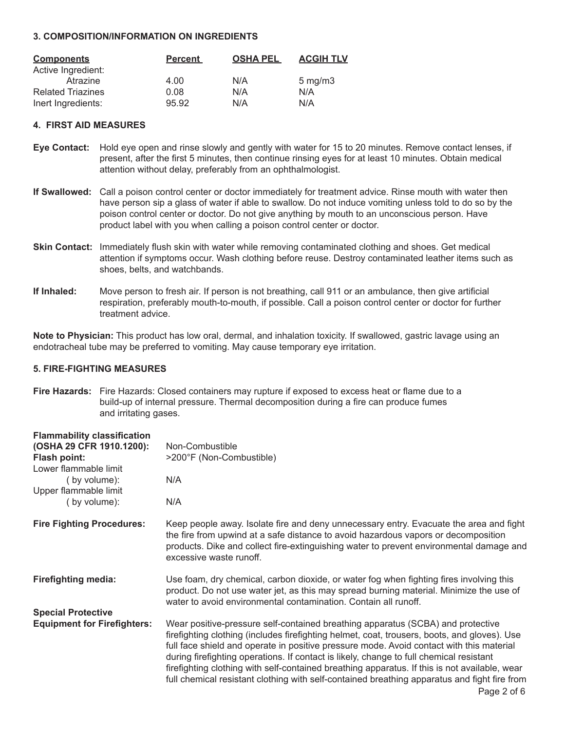## **3. COMPOSITION/INFORMATION ON INGREDIENTS**

| <b>Components</b>        | <b>Percent</b> | <b>OSHA PEL</b> | <b>ACGIH TLV</b>   |
|--------------------------|----------------|-----------------|--------------------|
| Active Ingredient:       |                |                 |                    |
| Atrazine                 | 4.00           | N/A             | $5 \text{ mg/m}$ 3 |
| <b>Related Triazines</b> | 0.08           | N/A             | N/A                |
| Inert Ingredients:       | 95.92          | N/A             | N/A                |

#### **4. FIRST AID MEASURES**

- **Eye Contact:** Hold eye open and rinse slowly and gently with water for 15 to 20 minutes. Remove contact lenses, if present, after the first 5 minutes, then continue rinsing eyes for at least 10 minutes. Obtain medical attention without delay, preferably from an ophthalmologist.
- **If Swallowed:** Call a poison control center or doctor immediately for treatment advice. Rinse mouth with water then have person sip a glass of water if able to swallow. Do not induce vomiting unless told to do so by the poison control center or doctor. Do not give anything by mouth to an unconscious person. Have product label with you when calling a poison control center or doctor.
- **Skin Contact:** Immediately flush skin with water while removing contaminated clothing and shoes. Get medical attention if symptoms occur. Wash clothing before reuse. Destroy contaminated leather items such as shoes, belts, and watchbands.
- **If Inhaled:** Move person to fresh air. If person is not breathing, call 911 or an ambulance, then give artificial respiration, preferably mouth-to-mouth, if possible. Call a poison control center or doctor for further treatment advice.

**Note to Physician:** This product has low oral, dermal, and inhalation toxicity. If swallowed, gastric lavage using an endotracheal tube may be preferred to vomiting. May cause temporary eye irritation.

## **5. FIRE-FIGHTING MEASURES**

**Fire Hazards:** Fire Hazards: Closed containers may rupture if exposed to excess heat or flame due to a build-up of internal pressure. Thermal decomposition during a fire can produce fumes and irritating gases.

| <b>Flammability classification</b> |                                                                                                                                                                                                                                                                                                                                                                                                                                                                                                                                                                                        |
|------------------------------------|----------------------------------------------------------------------------------------------------------------------------------------------------------------------------------------------------------------------------------------------------------------------------------------------------------------------------------------------------------------------------------------------------------------------------------------------------------------------------------------------------------------------------------------------------------------------------------------|
| (OSHA 29 CFR 1910.1200):           | Non-Combustible                                                                                                                                                                                                                                                                                                                                                                                                                                                                                                                                                                        |
| Flash point:                       | >200°F (Non-Combustible)                                                                                                                                                                                                                                                                                                                                                                                                                                                                                                                                                               |
| Lower flammable limit              |                                                                                                                                                                                                                                                                                                                                                                                                                                                                                                                                                                                        |
| (by volume):                       | N/A                                                                                                                                                                                                                                                                                                                                                                                                                                                                                                                                                                                    |
| Upper flammable limit              |                                                                                                                                                                                                                                                                                                                                                                                                                                                                                                                                                                                        |
| (by volume):                       | N/A                                                                                                                                                                                                                                                                                                                                                                                                                                                                                                                                                                                    |
| <b>Fire Fighting Procedures:</b>   | Keep people away. Isolate fire and deny unnecessary entry. Evacuate the area and fight<br>the fire from upwind at a safe distance to avoid hazardous vapors or decomposition<br>products. Dike and collect fire-extinguishing water to prevent environmental damage and<br>excessive waste runoff.                                                                                                                                                                                                                                                                                     |
| <b>Firefighting media:</b>         | Use foam, dry chemical, carbon dioxide, or water fog when fighting fires involving this<br>product. Do not use water jet, as this may spread burning material. Minimize the use of<br>water to avoid environmental contamination. Contain all runoff.                                                                                                                                                                                                                                                                                                                                  |
| <b>Special Protective</b>          |                                                                                                                                                                                                                                                                                                                                                                                                                                                                                                                                                                                        |
| <b>Equipment for Firefighters:</b> | Wear positive-pressure self-contained breathing apparatus (SCBA) and protective<br>firefighting clothing (includes firefighting helmet, coat, trousers, boots, and gloves). Use<br>full face shield and operate in positive pressure mode. Avoid contact with this material<br>during firefighting operations. If contact is likely, change to full chemical resistant<br>firefighting clothing with self-contained breathing apparatus. If this is not available, wear<br>full chemical resistant clothing with self-contained breathing apparatus and fight fire from<br>Page 2 of 6 |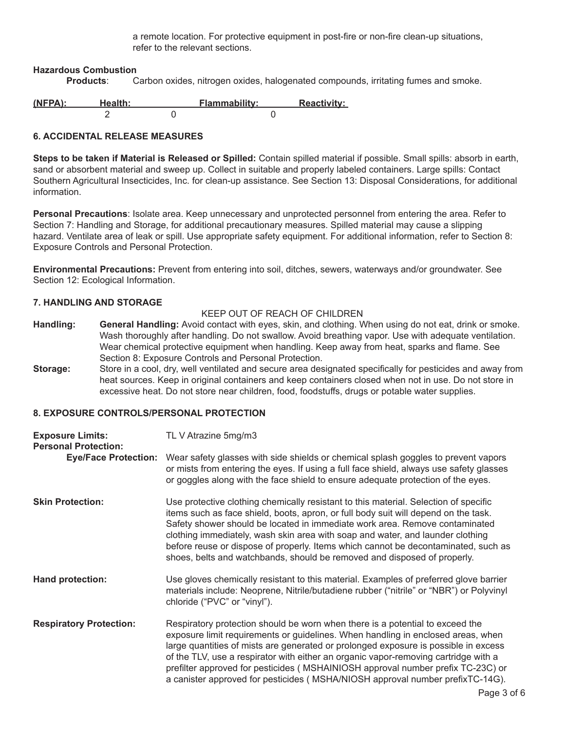a remote location. For protective equipment in post-fire or non-fire clean-up situations, refer to the relevant sections.

# **Hazardous Combustion**

**Products**: Carbon oxides, nitrogen oxides, halogenated compounds, irritating fumes and smoke.

| (NFPA): | Health: | <b>Flammability:</b> | <b>Reactivity:</b> |
|---------|---------|----------------------|--------------------|
|         |         |                      |                    |

# **6. ACCIDENTAL RELEASE MEASURES**

**Steps to be taken if Material is Released or Spilled:** Contain spilled material if possible. Small spills: absorb in earth, sand or absorbent material and sweep up. Collect in suitable and properly labeled containers. Large spills: Contact Southern Agricultural Insecticides, Inc. for clean-up assistance. See Section 13: Disposal Considerations, for additional information.

**Personal Precautions**: Isolate area. Keep unnecessary and unprotected personnel from entering the area. Refer to Section 7: Handling and Storage, for additional precautionary measures. Spilled material may cause a slipping hazard. Ventilate area of leak or spill. Use appropriate safety equipment. For additional information, refer to Section 8: Exposure Controls and Personal Protection.

**Environmental Precautions:** Prevent from entering into soil, ditches, sewers, waterways and/or groundwater. See Section 12: Ecological Information.

## **7. HANDLING AND STORAGE**

## KEEP OUT OF REACH OF CHILDREN

- **Handling: General Handling:** Avoid contact with eyes, skin, and clothing. When using do not eat, drink or smoke. Wash thoroughly after handling. Do not swallow. Avoid breathing vapor. Use with adequate ventilation. Wear chemical protective equipment when handling. Keep away from heat, sparks and flame. See Section 8: Exposure Controls and Personal Protection.
- **Storage:** Store in a cool, dry, well ventilated and secure area designated specifically for pesticides and away from heat sources. Keep in original containers and keep containers closed when not in use. Do not store in excessive heat. Do not store near children, food, foodstuffs, drugs or potable water supplies.

# **8. EXPOSURE CONTROLS/PERSONAL PROTECTION**

| <b>Exposure Limits:</b><br><b>Personal Protection:</b> | TL V Atrazine 5mg/m3                                                                                                                                                                                                                                                                                                                                                                                                                                                                                                |  |  |
|--------------------------------------------------------|---------------------------------------------------------------------------------------------------------------------------------------------------------------------------------------------------------------------------------------------------------------------------------------------------------------------------------------------------------------------------------------------------------------------------------------------------------------------------------------------------------------------|--|--|
| <b>Eye/Face Protection:</b>                            | Wear safety glasses with side shields or chemical splash goggles to prevent vapors<br>or mists from entering the eyes. If using a full face shield, always use safety glasses<br>or goggles along with the face shield to ensure adequate protection of the eyes.                                                                                                                                                                                                                                                   |  |  |
| <b>Skin Protection:</b>                                | Use protective clothing chemically resistant to this material. Selection of specific<br>items such as face shield, boots, apron, or full body suit will depend on the task.<br>Safety shower should be located in immediate work area. Remove contaminated<br>clothing immediately, wash skin area with soap and water, and launder clothing<br>before reuse or dispose of properly. Items which cannot be decontaminated, such as<br>shoes, belts and watchbands, should be removed and disposed of properly.      |  |  |
| <b>Hand protection:</b>                                | Use gloves chemically resistant to this material. Examples of preferred glove barrier<br>materials include: Neoprene, Nitrile/butadiene rubber ("nitrile" or "NBR") or Polyvinyl<br>chloride ("PVC" or "vinyl").                                                                                                                                                                                                                                                                                                    |  |  |
| <b>Respiratory Protection:</b>                         | Respiratory protection should be worn when there is a potential to exceed the<br>exposure limit requirements or guidelines. When handling in enclosed areas, when<br>large quantities of mists are generated or prolonged exposure is possible in excess<br>of the TLV, use a respirator with either an organic vapor-removing cartridge with a<br>prefilter approved for pesticides (MSHAINIOSH approval number prefix TC-23C) or<br>a canister approved for pesticides (MSHA/NIOSH approval number prefixTC-14G). |  |  |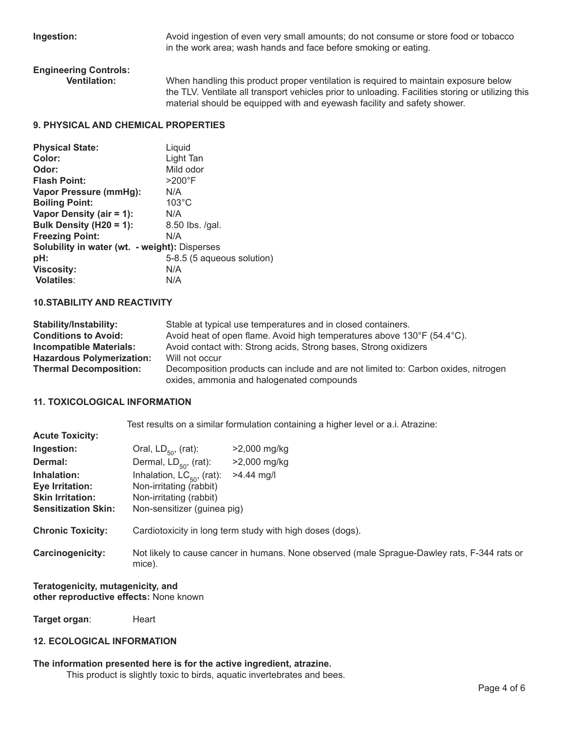**Ingestion:** Avoid ingestion of even very small amounts; do not consume or store food or tobacco in the work area; wash hands and face before smoking or eating.

# **Engineering Controls:**

When handling this product proper ventilation is required to maintain exposure below the TLV. Ventilate all transport vehicles prior to unloading. Facilities storing or utilizing this material should be equipped with and eyewash facility and safety shower.

# **9. PHYSICAL AND CHEMICAL PROPERTIES**

| <b>Physical State:</b>                               | Liquid                     |
|------------------------------------------------------|----------------------------|
| Color:                                               | Light Tan                  |
| Odor:                                                | Mild odor                  |
| <b>Flash Point:</b>                                  | $>200^{\circ}$ F           |
| Vapor Pressure (mmHg):                               | N/A                        |
| <b>Boiling Point:</b>                                | $103^{\circ}$ C            |
| Vapor Density (air = 1):                             | N/A                        |
| Bulk Density (H20 = 1):                              | 8.50 lbs. /gal.            |
| <b>Freezing Point:</b>                               | N/A                        |
| <b>Solubility in water (wt. - weight): Disperses</b> |                            |
| pH:                                                  | 5-8.5 (5 aqueous solution) |
| <b>Viscosity:</b>                                    | N/A                        |
| <b>Volatiles:</b>                                    | N/A                        |

# **10.STABILITY AND REACTIVITY**

| <b>Stability/Instability:</b>    | Stable at typical use temperatures and in closed containers.                                                                    |
|----------------------------------|---------------------------------------------------------------------------------------------------------------------------------|
| <b>Conditions to Avoid:</b>      | Avoid heat of open flame. Avoid high temperatures above 130°F (54.4°C).                                                         |
| <b>Incompatible Materials:</b>   | Avoid contact with: Strong acids, Strong bases, Strong oxidizers                                                                |
| <b>Hazardous Polymerization:</b> | Will not occur                                                                                                                  |
| <b>Thermal Decomposition:</b>    | Decomposition products can include and are not limited to: Carbon oxides, nitrogen<br>oxides, ammonia and halogenated compounds |

## **11. TOXICOLOGICAL INFORMATION**

**Acute Toxicity:** 

Test results on a similar formulation containing a higher level or a.i. Atrazine:

| 1.00101101101111                                                                        |                                                                                                                     |                                                                                              |
|-----------------------------------------------------------------------------------------|---------------------------------------------------------------------------------------------------------------------|----------------------------------------------------------------------------------------------|
| Ingestion:                                                                              | Oral, $LD_{50}$ , (rat):                                                                                            | $>2,000$ mg/kg                                                                               |
| Dermal:                                                                                 | Dermal, $LD_{50}$ , (rat):                                                                                          | >2,000 mg/kg                                                                                 |
| Inhalation:<br>Eye Irritation:<br><b>Skin Irritation:</b><br><b>Sensitization Skin:</b> | Inhalation, $LC_{50}$ , (rat):<br>Non-irritating (rabbit)<br>Non-irritating (rabbit)<br>Non-sensitizer (guinea pig) | $>4.44$ mg/l                                                                                 |
| <b>Chronic Toxicity:</b>                                                                |                                                                                                                     | Cardiotoxicity in long term study with high doses (dogs).                                    |
| Carcinogenicity:                                                                        | mice).                                                                                                              | Not likely to cause cancer in humans. None observed (male Sprague-Dawley rats, F-344 rats or |

#### **Teratogenicity, mutagenicity, and other reproductive effects:** None known

Target organ: Heart

#### **12. ECOLOGICAL INFORMATION**

#### **The information presented here is for the active ingredient, atrazine.**

This product is slightly toxic to birds, aquatic invertebrates and bees.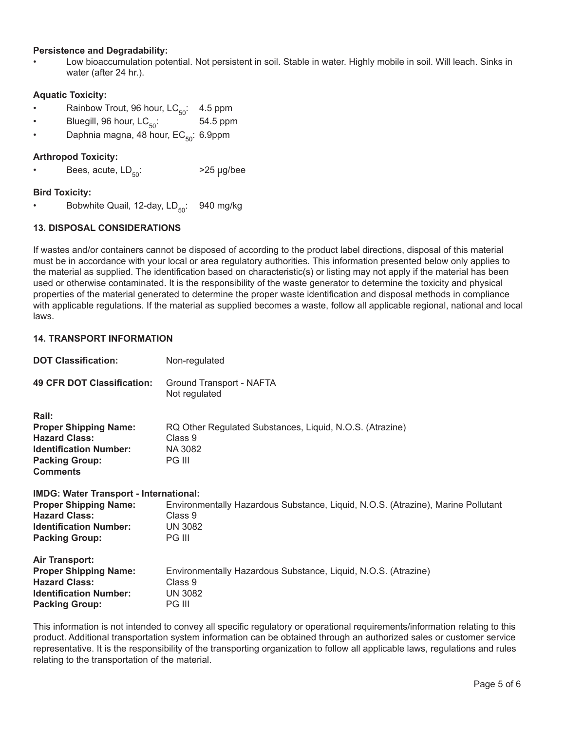# **Persistence and Degradability:**

• Low bioaccumulation potential. Not persistent in soil. Stable in water. Highly mobile in soil. Will leach. Sinks in water (after 24 hr.).

## **Aquatic Toxicity:**

- Rainbow Trout, 96 hour,  $LC_{50}$ : 4.5 ppm<br>Bluegill, 96 hour,  $LC_{50}$ : 54.5 ppm
- Bluegill, 96 hour,  $LC_{50}$ :
- Daphnia magna, 48 hour,  $EC_{50}$ : 6.9ppm

## **Arthropod Toxicity:**

Bees, acute,  $LD_{50}$ :  $>25 \mu g/bee$ 

# **Bird Toxicity:**

• Bobwhite Quail, 12-day,  $LD_{50}$ : 940 mg/kg

# **13. DISPOSAL CONSIDERATIONS**

If wastes and/or containers cannot be disposed of according to the product label directions, disposal of this material must be in accordance with your local or area regulatory authorities. This information presented below only applies to the material as supplied. The identification based on characteristic(s) or listing may not apply if the material has been used or otherwise contaminated. It is the responsibility of the waste generator to determine the toxicity and physical properties of the material generated to determine the proper waste identification and disposal methods in compliance with applicable regulations. If the material as supplied becomes a waste, follow all applicable regional, national and local laws.

#### **14. TRANSPORT INFORMATION**

| <b>DOT Classification:</b>                                                                                                                                      | Non-regulated                                                                                                           |  |
|-----------------------------------------------------------------------------------------------------------------------------------------------------------------|-------------------------------------------------------------------------------------------------------------------------|--|
| <b>49 CFR DOT Classification:</b>                                                                                                                               | Ground Transport - NAFTA<br>Not regulated                                                                               |  |
| Rail:<br><b>Proper Shipping Name:</b><br><b>Hazard Class:</b><br><b>Identification Number:</b><br><b>Packing Group:</b><br><b>Comments</b>                      | RQ Other Regulated Substances, Liquid, N.O.S. (Atrazine)<br>Class 9<br>NA 3082<br>PG III                                |  |
| <b>IMDG: Water Transport - International:</b><br><b>Proper Shipping Name:</b><br><b>Hazard Class:</b><br><b>Identification Number:</b><br><b>Packing Group:</b> | Environmentally Hazardous Substance, Liquid, N.O.S. (Atrazine), Marine Pollutant<br>Class 9<br><b>UN 3082</b><br>PG III |  |
| <b>Air Transport:</b><br><b>Proper Shipping Name:</b><br><b>Hazard Class:</b><br><b>Identification Number:</b><br><b>Packing Group:</b>                         | Environmentally Hazardous Substance, Liquid, N.O.S. (Atrazine)<br>Class 9<br><b>UN 3082</b><br>PG III                   |  |

This information is not intended to convey all specific regulatory or operational requirements/information relating to this product. Additional transportation system information can be obtained through an authorized sales or customer service representative. It is the responsibility of the transporting organization to follow all applicable laws, regulations and rules relating to the transportation of the material.